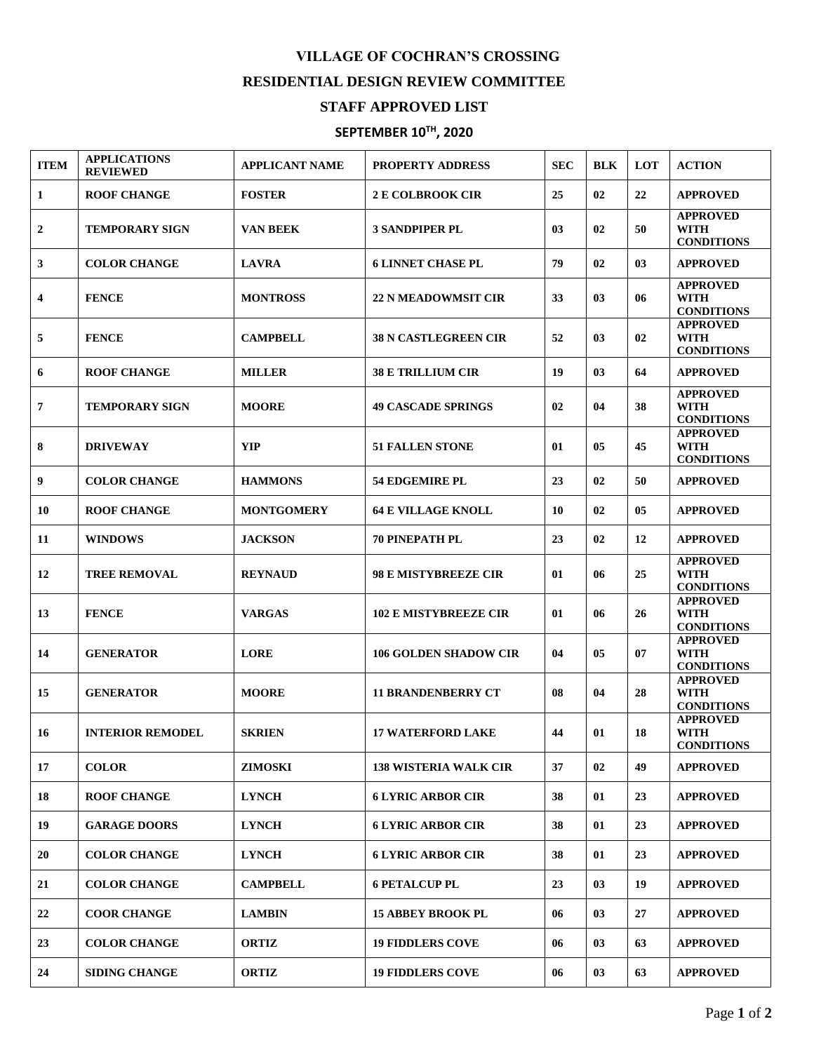## **VILLAGE OF COCHRAN'S CROSSING RESIDENTIAL DESIGN REVIEW COMMITTEE**

## **STAFF APPROVED LIST**

## **SEPTEMBER 10TH , 2020**

| <b>ITEM</b>      | <b>APPLICATIONS</b><br><b>REVIEWED</b> | <b>APPLICANT NAME</b> | <b>PROPERTY ADDRESS</b>      | <b>SEC</b> | <b>BLK</b> | LOT | <b>ACTION</b>                                       |
|------------------|----------------------------------------|-----------------------|------------------------------|------------|------------|-----|-----------------------------------------------------|
| 1                | <b>ROOF CHANGE</b>                     | <b>FOSTER</b>         | <b>2 E COLBROOK CIR</b>      | 25         | 02         | 22  | <b>APPROVED</b>                                     |
| $\boldsymbol{2}$ | <b>TEMPORARY SIGN</b>                  | <b>VAN BEEK</b>       | <b>3 SANDPIPER PL</b>        | 03         | 02         | 50  | <b>APPROVED</b><br><b>WITH</b><br><b>CONDITIONS</b> |
| 3                | <b>COLOR CHANGE</b>                    | <b>LAVRA</b>          | <b>6 LINNET CHASE PL</b>     | 79         | 02         | 03  | <b>APPROVED</b>                                     |
| 4                | <b>FENCE</b>                           | <b>MONTROSS</b>       | <b>22 N MEADOWMSIT CIR</b>   | 33         | 03         | 06  | <b>APPROVED</b><br><b>WITH</b><br><b>CONDITIONS</b> |
| 5                | <b>FENCE</b>                           | <b>CAMPBELL</b>       | <b>38 N CASTLEGREEN CIR</b>  | 52         | 03         | 02  | <b>APPROVED</b><br>WITH<br><b>CONDITIONS</b>        |
| 6                | <b>ROOF CHANGE</b>                     | <b>MILLER</b>         | <b>38 E TRILLIUM CIR</b>     | 19         | 03         | 64  | <b>APPROVED</b>                                     |
| $\overline{7}$   | <b>TEMPORARY SIGN</b>                  | <b>MOORE</b>          | <b>49 CASCADE SPRINGS</b>    | 02         | 04         | 38  | <b>APPROVED</b><br><b>WITH</b><br><b>CONDITIONS</b> |
| 8                | <b>DRIVEWAY</b>                        | <b>YIP</b>            | <b>51 FALLEN STONE</b>       | 01         | 05         | 45  | <b>APPROVED</b><br><b>WITH</b><br><b>CONDITIONS</b> |
| 9                | <b>COLOR CHANGE</b>                    | <b>HAMMONS</b>        | <b>54 EDGEMIRE PL</b>        | 23         | 02         | 50  | <b>APPROVED</b>                                     |
| 10               | <b>ROOF CHANGE</b>                     | <b>MONTGOMERY</b>     | <b>64 E VILLAGE KNOLL</b>    | 10         | 02         | 05  | <b>APPROVED</b>                                     |
| 11               | <b>WINDOWS</b>                         | <b>JACKSON</b>        | <b>70 PINEPATH PL</b>        | 23         | 02         | 12  | <b>APPROVED</b>                                     |
| 12               | <b>TREE REMOVAL</b>                    | <b>REYNAUD</b>        | <b>98 E MISTYBREEZE CIR</b>  | 01         | 06         | 25  | <b>APPROVED</b><br><b>WITH</b><br><b>CONDITIONS</b> |
| 13               | <b>FENCE</b>                           | <b>VARGAS</b>         | <b>102 E MISTYBREEZE CIR</b> | 01         | 06         | 26  | <b>APPROVED</b><br><b>WITH</b><br><b>CONDITIONS</b> |
| 14               | <b>GENERATOR</b>                       | <b>LORE</b>           | <b>106 GOLDEN SHADOW CIR</b> | 04         | 05         | 07  | <b>APPROVED</b><br><b>WITH</b><br><b>CONDITIONS</b> |
| 15               | <b>GENERATOR</b>                       | <b>MOORE</b>          | <b>11 BRANDENBERRY CT</b>    | 08         | 04         | 28  | <b>APPROVED</b><br><b>WITH</b><br><b>CONDITIONS</b> |
| 16               | <b>INTERIOR REMODEL</b>                | <b>SKRIEN</b>         | <b>17 WATERFORD LAKE</b>     | 44         | 01         | 18  | <b>APPROVED</b><br><b>WITH</b><br><b>CONDITIONS</b> |
| 17               | <b>COLOR</b>                           | <b>ZIMOSKI</b>        | <b>138 WISTERIA WALK CIR</b> | 37         | 02         | 49  | <b>APPROVED</b>                                     |
| 18               | <b>ROOF CHANGE</b>                     | <b>LYNCH</b>          | <b>6 LYRIC ARBOR CIR</b>     | 38         | 01         | 23  | <b>APPROVED</b>                                     |
| 19               | <b>GARAGE DOORS</b>                    | <b>LYNCH</b>          | <b>6 LYRIC ARBOR CIR</b>     | 38         | 01         | 23  | <b>APPROVED</b>                                     |
| 20               | <b>COLOR CHANGE</b>                    | <b>LYNCH</b>          | <b>6 LYRIC ARBOR CIR</b>     | 38         | 01         | 23  | <b>APPROVED</b>                                     |
| 21               | <b>COLOR CHANGE</b>                    | <b>CAMPBELL</b>       | <b>6 PETALCUP PL</b>         | 23         | 03         | 19  | <b>APPROVED</b>                                     |
| 22               | <b>COOR CHANGE</b>                     | <b>LAMBIN</b>         | <b>15 ABBEY BROOK PL</b>     | 06         | 03         | 27  | <b>APPROVED</b>                                     |
| 23               | <b>COLOR CHANGE</b>                    | <b>ORTIZ</b>          | <b>19 FIDDLERS COVE</b>      | 06         | 03         | 63  | <b>APPROVED</b>                                     |
| 24               | <b>SIDING CHANGE</b>                   | <b>ORTIZ</b>          | <b>19 FIDDLERS COVE</b>      | 06         | 03         | 63  | <b>APPROVED</b>                                     |